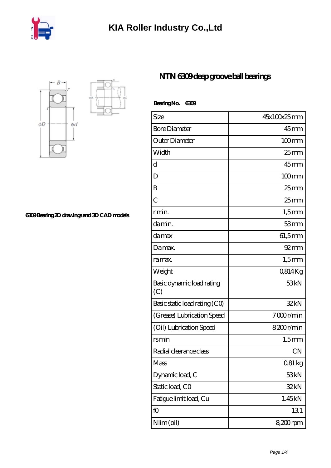



**[6309 Bearing 2D drawings and 3D CAD models](https://m.iyded.com/pic-65799.html)**

## **[NTN 6309 deep groove ball bearings](https://m.iyded.com/ar-65799-ntn-6309-deep-groove-ball-bearings.html)**

| BearingNo.<br>6309               |                    |
|----------------------------------|--------------------|
| Size                             | 45x100x25mm        |
| <b>Bore Diameter</b>             | $45$ mm            |
| Outer Diameter                   | $100$ mm           |
| Width                            | 25 <sub>mm</sub>   |
| d                                | 45 <sub>mm</sub>   |
| D                                | $100$ mm           |
| B                                | $25$ mm            |
| $\overline{C}$                   | $25$ <sub>mm</sub> |
| r min.                           | $1,5$ mm           |
| da min.                          | 53mm               |
| da max                           | 61,5mm             |
| Damax.                           | $92 \text{mm}$     |
| ra max.                          | $1,5$ mm           |
| Weight                           | 0814Kg             |
| Basic dynamic load rating<br>(C) | 53 <sub>kN</sub>   |
| Basic static load rating (CO)    | 32kN               |
| (Grease) Lubrication Speed       | 7000r/min          |
| (Oil) Lubrication Speed          | 8200r/min          |
| rsmin                            | 1.5 <sub>mm</sub>  |
| Radial clearance class           | CΝ                 |
| Mass                             | $081\,\mathrm{kg}$ |
| Dynamic load, C                  | 53 <sub>kN</sub>   |
| Static load, CO                  | 32kN               |
| Fatigue limit load, Cu           | 1.45kN             |
| fO                               | 131                |
| Nlim (oil)                       | 8,200rpm           |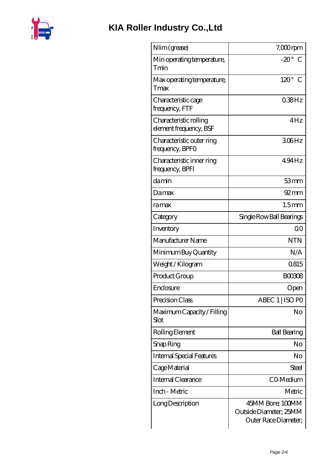

| Nlim (grease)                                    | $7,000$ rpm                                                        |
|--------------------------------------------------|--------------------------------------------------------------------|
| Min operating temperature,<br>Tmin               | $-20^\circ$ C                                                      |
| Max operating temperature,<br>Tmax               | $120^\circ$ C                                                      |
| Characteristic cage<br>frequency, FTF            | 038Hz                                                              |
| Characteristic rolling<br>element frequency, BSF | 4Hz                                                                |
| Characteristic outer ring<br>frequency, BPFO     | 306Hz                                                              |
| Characteristic inner ring<br>frequency, BPFI     | 494Hz                                                              |
| damin                                            | 53mm                                                               |
| Damax                                            | $92 \text{mm}$                                                     |
| ramax                                            | 1.5 <sub>mm</sub>                                                  |
| Category                                         | Single Row Ball Bearings                                           |
| Inventory                                        | 0 <sub>0</sub>                                                     |
| Manufacturer Name                                | <b>NTN</b>                                                         |
| Minimum Buy Quantity                             | N/A                                                                |
| Weight/Kilogram                                  | 0815                                                               |
| Product Group                                    | <b>BOO308</b>                                                      |
| Enclosure                                        | Open                                                               |
| Precision Class                                  | ABEC 1   ISO PO                                                    |
| Maximum Capacity / Filling<br>Slot               | No                                                                 |
| Rolling Element                                  | <b>Ball Bearing</b>                                                |
| Snap Ring                                        | No                                                                 |
| <b>Internal Special Features</b>                 | No                                                                 |
| Cage Material                                    | <b>Steel</b>                                                       |
| <b>Internal Clearance</b>                        | CO-Medium                                                          |
| Inch - Metric                                    | Metric                                                             |
| Long Description                                 | 45MM Bore; 100MM<br>Outside Diameter; 25MM<br>Outer Race Diameter; |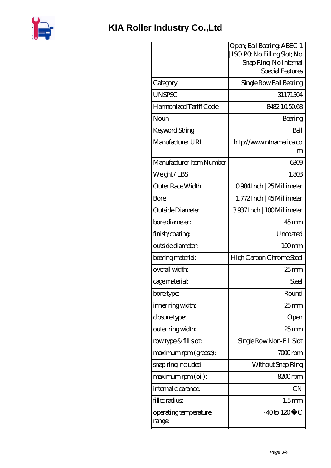

## **[KIA Roller Industry Co.,Ltd](https://m.iyded.com)**

|                                 | Open; Ball Bearing; ABEC 1<br>ISO PO, No Filling Slot; No |
|---------------------------------|-----------------------------------------------------------|
|                                 | Snap Ring, No Internal                                    |
|                                 | Special Features                                          |
| Category                        | Single Row Ball Bearing                                   |
| <b>UNSPSC</b>                   | 31171504                                                  |
| Harmonized Tariff Code          | 8482.105068                                               |
| Noun                            | Bearing                                                   |
| Keyword String                  | Ball                                                      |
| Manufacturer URL                | http://www.ntnamerica.co<br>m                             |
| Manufacturer Item Number        | 6309                                                      |
| Weight/LBS                      | 1.803                                                     |
| Outer Race Width                | 0984 Inch   25 Millimeter                                 |
| Bore                            | 1.772Inch   45 Millimeter                                 |
| Outside Diameter                | 3937Inch   100Millimeter                                  |
| bore diameter:                  | $45$ mm                                                   |
| finish/coating                  | Uncoated                                                  |
| outside diameter:               | $100$ <sub>mm</sub>                                       |
| bearing material:               | High Carbon Chrome Steel                                  |
| overall width:                  | 25 <sub>mm</sub>                                          |
| cage material:                  | <b>Steel</b>                                              |
| bore type:                      | Round                                                     |
| inner ring width:               | $25 \text{mm}$                                            |
| closure type:                   | Open                                                      |
| outer ring width:               | 25 <sub>mm</sub>                                          |
| rowtype & fill slot:            | Single Row Non-Fill Slot                                  |
| maximum rpm (grease):           | $700$ rpm                                                 |
| snap ring included:             | Without Snap Ring                                         |
| maximum rpm (oil):              | 8200rpm                                                   |
| internal clearance:             | <b>CN</b>                                                 |
| fillet radius                   | 1.5 <sub>mm</sub>                                         |
| operating temperature<br>range: | $-40$ to $120^{\circ}$ C                                  |